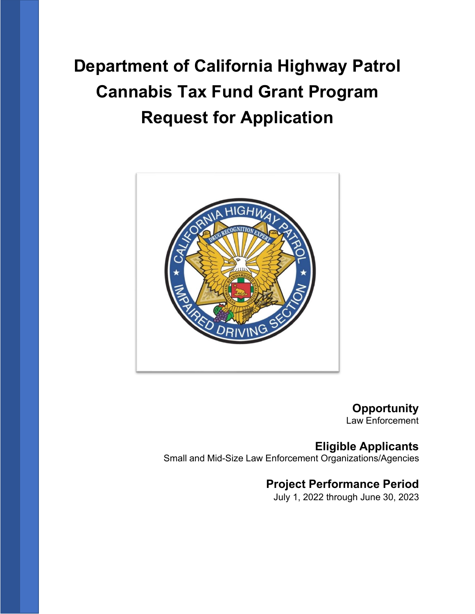# **Department of California Highway Patrol Cannabis Tax Fund Grant Program Request for Application**



## **Opportunity**

Law Enforcement

## **Eligible Applicants**

Small and Mid-Size Law Enforcement Organizations/Agencies

### **Project Performance Period**

July 1, 2022 through June 30, 2023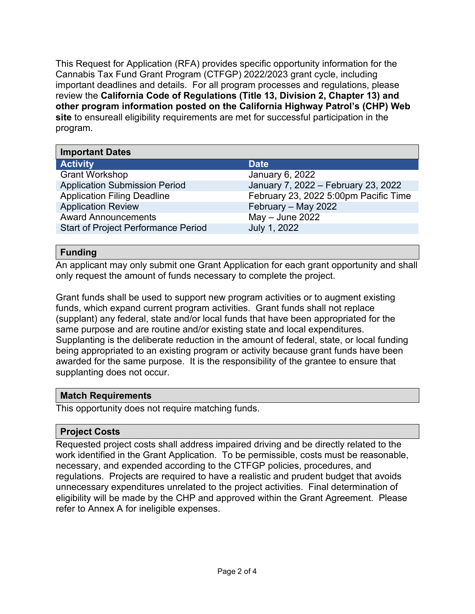This Request for Application (RFA) provides specific opportunity information for the Cannabis Tax Fund Grant Program (CTFGP) 2022/2023 grant cycle, including important deadlines and details. For all program processes and regulations, please review the **California Code of Regulations (Title 13, Division 2, Chapter 13) and other program information posted on the California Highway Patrol's (CHP) Web site** to ensureall eligibility requirements are met for successful participation in the program.

| <b>Important Dates</b>                     |                                       |
|--------------------------------------------|---------------------------------------|
| <b>Activity</b>                            | <b>Date</b>                           |
| <b>Grant Workshop</b>                      | January 6, 2022                       |
| <b>Application Submission Period</b>       | January 7, 2022 - February 23, 2022   |
| <b>Application Filing Deadline</b>         | February 23, 2022 5:00pm Pacific Time |
| <b>Application Review</b>                  | February - May 2022                   |
| <b>Award Announcements</b>                 | $May - June 2022$                     |
| <b>Start of Project Performance Period</b> | July 1, 2022                          |

#### **Funding**

An applicant may only submit one Grant Application for each grant opportunity and shall only request the amount of funds necessary to complete the project.

Grant funds shall be used to support new program activities or to augment existing funds, which expand current program activities. Grant funds shall not replace (supplant) any federal, state and/or local funds that have been appropriated for the same purpose and are routine and/or existing state and local expenditures. Supplanting is the deliberate reduction in the amount of federal, state, or local funding being appropriated to an existing program or activity because grant funds have been awarded for the same purpose. It is the responsibility of the grantee to ensure that supplanting does not occur.

#### **Match Requirements**

This opportunity does not require matching funds.

#### **Project Costs**

Requested project costs shall address impaired driving and be directly related to the work identified in the Grant Application. To be permissible, costs must be reasonable, necessary, and expended according to the CTFGP policies, procedures, and regulations. Projects are required to have a realistic and prudent budget that avoids unnecessary expenditures unrelated to the project activities. Final determination of eligibility will be made by the CHP and approved within the Grant Agreement. Please refer to Annex A for ineligible expenses.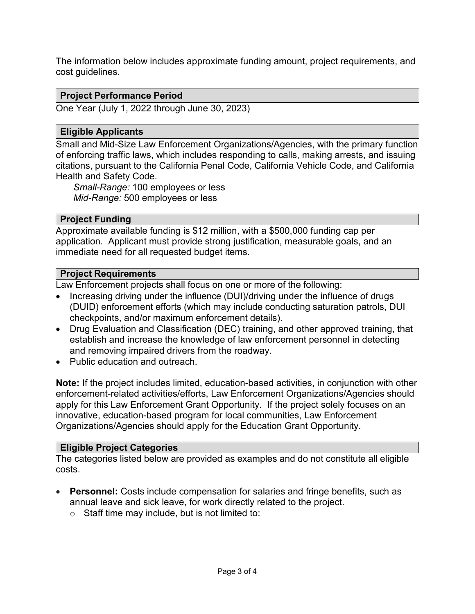The information below includes approximate funding amount, project requirements, and cost guidelines.

#### **Project Performance Period**

One Year (July 1, 2022 through June 30, 2023)

#### **Eligible Applicants**

Small and Mid-Size Law Enforcement Organizations/Agencies, with the primary function of enforcing traffic laws, which includes responding to calls, making arrests, and issuing citations, pursuant to the California Penal Code, California Vehicle Code, and California Health and Safety Code.

*Small-Range:* 100 employees or less *Mid-Range:* 500 employees or less

#### **Project Funding**

Approximate available funding is \$12 million, with a \$500,000 funding cap per application. Applicant must provide strong justification, measurable goals, and an immediate need for all requested budget items.

#### **Project Requirements**

Law Enforcement projects shall focus on one or more of the following:

- Increasing driving under the influence (DUI)/driving under the influence of drugs (DUID) enforcement efforts (which may include conducting saturation patrols, DUI checkpoints, and/or maximum enforcement details).
- Drug Evaluation and Classification (DEC) training, and other approved training, that establish and increase the knowledge of law enforcement personnel in detecting and removing impaired drivers from the roadway.
- Public education and outreach.

**Note:** If the project includes limited, education-based activities, in conjunction with other enforcement-related activities/efforts, Law Enforcement Organizations/Agencies should apply for this Law Enforcement Grant Opportunity. If the project solely focuses on an innovative, education-based program for local communities, Law Enforcement Organizations/Agencies should apply for the Education Grant Opportunity.

#### **Eligible Project Categories**

The categories listed below are provided as examples and do not constitute all eligible costs.

- **Personnel:** Costs include compensation for salaries and fringe benefits, such as annual leave and sick leave, for work directly related to the project.
	- $\circ$  Staff time may include, but is not limited to: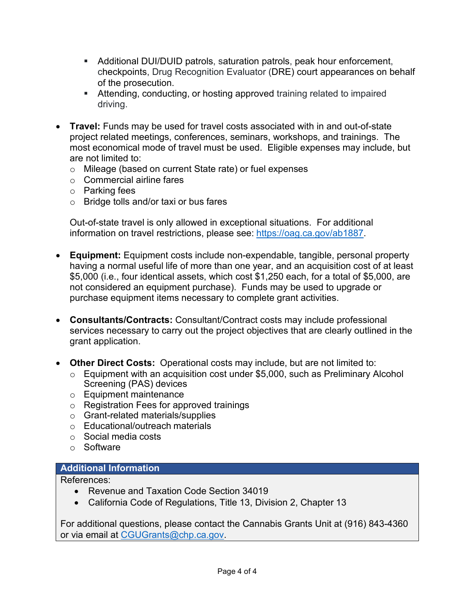- Additional DUI/DUID patrols, saturation patrols, peak hour enforcement, checkpoints, Drug Recognition Evaluator (DRE) court appearances on behalf of the prosecution.
- Attending, conducting, or hosting approved training related to impaired driving.
- **Travel:** Funds may be used for travel costs associated with in and out-of-state project related meetings, conferences, seminars, workshops, and trainings. The most economical mode of travel must be used. Eligible expenses may include, but are not limited to:
	- o Mileage (based on current State rate) or fuel expenses
	- o Commercial airline fares
	- o Parking fees
	- o Bridge tolls and/or taxi or bus fares

Out-of-state travel is only allowed in exceptional situations. For additional information on travel restrictions, please see: [https://oag.ca.gov/ab1887.](https://oag.ca.gov/ab1887)

- **Equipment:** Equipment costs include non-expendable, tangible, personal property having a normal useful life of more than one year, and an acquisition cost of at least \$5,000 (i.e., four identical assets, which cost \$1,250 each, for a total of \$5,000, are not considered an equipment purchase). Funds may be used to upgrade or purchase equipment items necessary to complete grant activities.
- **Consultants/Contracts:** Consultant/Contract costs may include professional services necessary to carry out the project objectives that are clearly outlined in the grant application.
- **Other Direct Costs:** Operational costs may include, but are not limited to:
	- o Equipment with an acquisition cost under \$5,000, such as Preliminary Alcohol Screening (PAS) devices
	- o Equipment maintenance
	- o Registration Fees for approved trainings
	- o Grant-related materials/supplies
	- o Educational/outreach materials
	- o Social media costs
	- o Software

#### **Additional Information**

References:

- Revenue and Taxation Code Section 34019
- California Code of Regulations, Title 13, Division 2, Chapter 13

For additional questions, please contact the Cannabis Grants Unit at (916) 843-4360 or via email at [CGUGrants@chp.ca.gov.](mailto:CGUGrants@chp.ca.gov)